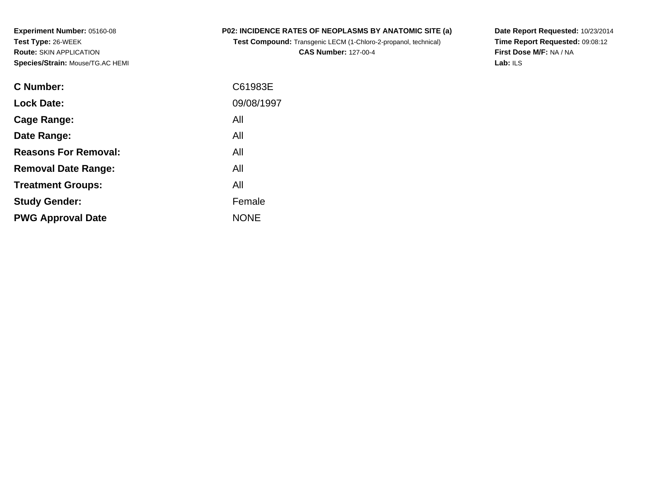**Experiment Number:** 05160-08**Test Type:** 26-WEEK **Route:** SKIN APPLICATION**Species/Strain:** Mouse/TG.AC HEMI

## **P02: INCIDENCE RATES OF NEOPLASMS BY ANATOMIC SITE (a)**

**Test Compound:** Transgenic LECM (1-Chloro-2-propanol, technical)

**CAS Number:** 127-00-4

**Date Report Requested:** 10/23/2014 **Time Report Requested:** 09:08:12**First Dose M/F:** NA / NA**Lab:** ILS

| C61983E     |
|-------------|
| 09/08/1997  |
| All         |
| All         |
| All         |
| All         |
| All         |
| Female      |
| <b>NONE</b> |
|             |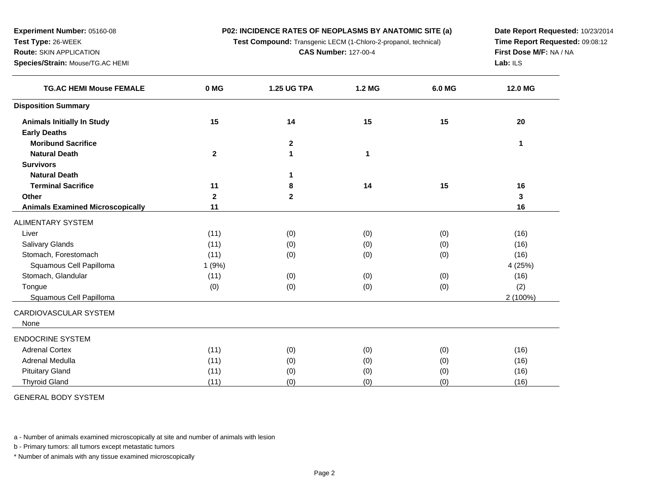**P02: INCIDENCE RATES OF NEOPLASMS BY ANATOMIC SITE (a)**

**Test Compound:** Transgenic LECM (1-Chloro-2-propanol, technical)

**CAS Number:** 127-00-4

**Date Report Requested:** 10/23/2014**Time Report Requested:** 09:08:12**First Dose M/F:** NA / NA**Lab:** ILS

| <b>TG.AC HEMI Mouse FEMALE</b>          | 0 MG         | <b>1.25 UG TPA</b> | 1.2 MG | 6.0 MG | 12.0 MG  |
|-----------------------------------------|--------------|--------------------|--------|--------|----------|
| <b>Disposition Summary</b>              |              |                    |        |        |          |
| <b>Animals Initially In Study</b>       | 15           | 14                 | 15     | 15     | 20       |
| <b>Early Deaths</b>                     |              |                    |        |        |          |
| <b>Moribund Sacrifice</b>               |              | $\mathbf 2$        |        |        | 1        |
| <b>Natural Death</b>                    | $\mathbf 2$  | 1                  | 1      |        |          |
| <b>Survivors</b>                        |              |                    |        |        |          |
| <b>Natural Death</b>                    |              |                    |        |        |          |
| <b>Terminal Sacrifice</b>               | 11           | 8                  | 14     | 15     | 16       |
| Other                                   | $\mathbf{2}$ | $\overline{2}$     |        |        | 3        |
| <b>Animals Examined Microscopically</b> | 11           |                    |        |        | 16       |
| <b>ALIMENTARY SYSTEM</b>                |              |                    |        |        |          |
| Liver                                   | (11)         | (0)                | (0)    | (0)    | (16)     |
| <b>Salivary Glands</b>                  | (11)         | (0)                | (0)    | (0)    | (16)     |
| Stomach, Forestomach                    | (11)         | (0)                | (0)    | (0)    | (16)     |
| Squamous Cell Papilloma                 | 1(9%)        |                    |        |        | 4 (25%)  |
| Stomach, Glandular                      | (11)         | (0)                | (0)    | (0)    | (16)     |
| Tongue                                  | (0)          | (0)                | (0)    | (0)    | (2)      |
| Squamous Cell Papilloma                 |              |                    |        |        | 2 (100%) |
| CARDIOVASCULAR SYSTEM<br>None           |              |                    |        |        |          |
| <b>ENDOCRINE SYSTEM</b>                 |              |                    |        |        |          |
| <b>Adrenal Cortex</b>                   | (11)         | (0)                | (0)    | (0)    | (16)     |
| Adrenal Medulla                         | (11)         | (0)                | (0)    | (0)    | (16)     |
| <b>Pituitary Gland</b>                  | (11)         | (0)                | (0)    | (0)    | (16)     |
| <b>Thyroid Gland</b>                    | (11)         | (0)                | (0)    | (0)    | (16)     |

GENERAL BODY SYSTEM

**Experiment Number:** 05160-08

**Species/Strain:** Mouse/TG.AC HEMI

**Test Type:** 26-WEEK**Route:** SKIN APPLICATION

a - Number of animals examined microscopically at site and number of animals with lesion

b - Primary tumors: all tumors except metastatic tumors

\* Number of animals with any tissue examined microscopically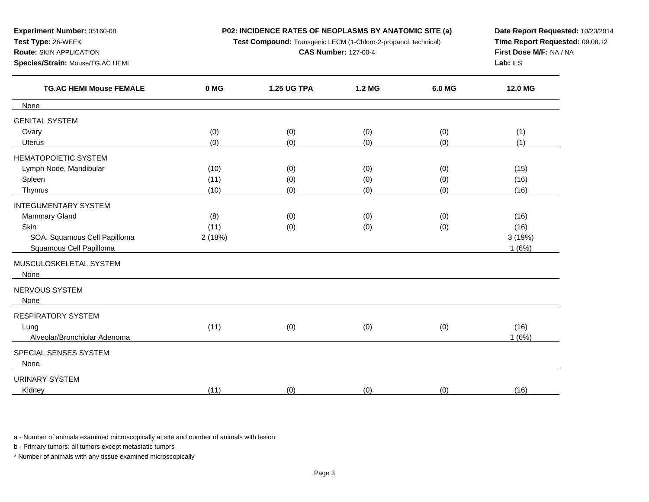**P02: INCIDENCE RATES OF NEOPLASMS BY ANATOMIC SITE (a)**

**Test Compound:** Transgenic LECM (1-Chloro-2-propanol, technical)

**CAS Number:** 127-00-4

**Date Report Requested:** 10/23/2014 **Time Report Requested:** 09:08:12**First Dose M/F:** NA / NA**Lab:** ILS

| <b>TG.AC HEMI Mouse FEMALE</b> | 0 MG   | <b>1.25 UG TPA</b> | 1.2 MG | 6.0 MG | 12.0 MG |
|--------------------------------|--------|--------------------|--------|--------|---------|
| None                           |        |                    |        |        |         |
| <b>GENITAL SYSTEM</b>          |        |                    |        |        |         |
| Ovary                          | (0)    | (0)                | (0)    | (0)    | (1)     |
| <b>Uterus</b>                  | (0)    | (0)                | (0)    | (0)    | (1)     |
| <b>HEMATOPOIETIC SYSTEM</b>    |        |                    |        |        |         |
| Lymph Node, Mandibular         | (10)   | (0)                | (0)    | (0)    | (15)    |
| Spleen                         | (11)   | (0)                | (0)    | (0)    | (16)    |
| Thymus                         | (10)   | (0)                | (0)    | (0)    | (16)    |
| <b>INTEGUMENTARY SYSTEM</b>    |        |                    |        |        |         |
| Mammary Gland                  | (8)    | (0)                | (0)    | (0)    | (16)    |
| Skin                           | (11)   | (0)                | (0)    | (0)    | (16)    |
| SOA, Squamous Cell Papilloma   | 2(18%) |                    |        |        | 3(19%)  |
| Squamous Cell Papilloma        |        |                    |        |        | 1(6%)   |
| MUSCULOSKELETAL SYSTEM         |        |                    |        |        |         |
| None                           |        |                    |        |        |         |
| NERVOUS SYSTEM                 |        |                    |        |        |         |
| None                           |        |                    |        |        |         |
| RESPIRATORY SYSTEM             |        |                    |        |        |         |
| Lung                           | (11)   | (0)                | (0)    | (0)    | (16)    |
| Alveolar/Bronchiolar Adenoma   |        |                    |        |        | 1(6%)   |
| SPECIAL SENSES SYSTEM          |        |                    |        |        |         |
| None                           |        |                    |        |        |         |
| <b>URINARY SYSTEM</b>          |        |                    |        |        |         |
| Kidney                         | (11)   | (0)                | (0)    | (0)    | (16)    |
|                                |        |                    |        |        |         |

a - Number of animals examined microscopically at site and number of animals with lesion

b - Primary tumors: all tumors except metastatic tumors

**Experiment Number:** 05160-08

**Species/Strain:** Mouse/TG.AC HEMI

**Test Type:** 26-WEEK**Route:** SKIN APPLICATION

\* Number of animals with any tissue examined microscopically